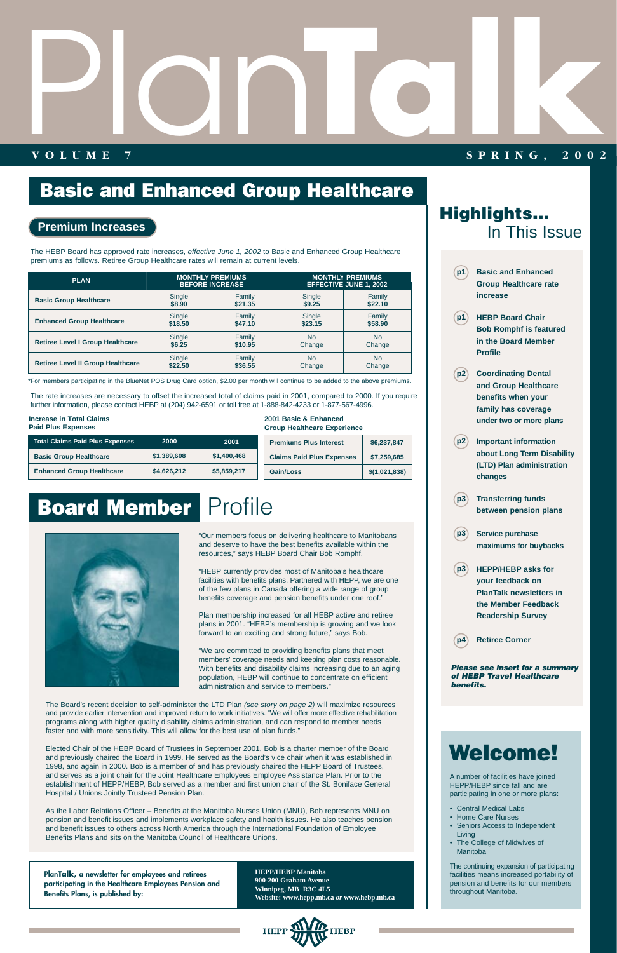# Plan

# **VOLUME 7 SPRING, 2002 TALK SPRING, 2002**

### **Basic and Enhanced Group Healthcare**

The HEBP Board has approved rate increases, effective June 1, 2002 to Basic and Enhanced Group Healthcare premiums as follows. Retiree Group Healthcare rates will remain at current levels.

The rate increases are necessary to offset the increased total of claims paid in 2001, compared to 2000. If you require further information, please contact HEBP at (204) 942-6591 or toll free at 1-888-842-4233 or 1-877-567-4996.

\*For members participating in the BlueNet POS Drug Card option, \$2.00 per month will continue to be added to the above premiums.

A number of facilities have joined HEPP/HEBP since fall and are participating in one or more plans:

- Central Medical Labs
- Home Care Nurses
- Seniors Access to Independent Living
- The College of Midwives of Manitoba

The continuing expansion of participating facilities means increased portability of pension and benefits for our members throughout Manitoba.

## Welcome!

# Board Member Profile



"Our members focus on delivering healthcare to Manitobans and deserve to have the best benefits available within the resources," says HEBP Board Chair Bob Romphf.

The Board's recent decision to self-administer the LTD Plan (see story on page 2) will maximize resources and provide earlier intervention and improved return to work initiatives. "We will offer more effective rehabilitation programs along with higher quality disability claims administration, and can respond to member needs faster and with more sensitivity. This will allow for the best use of plan funds."

"HEBP currently provides most of Manitoba's healthcare facilities with benefits plans. Partnered with HEPP, we are one of the few plans in Canada offering a wide range of group benefits coverage and pension benefits under one roof."

Plan membership increased for all HEBP active and retiree plans in 2001. "HEBP's membership is growing and we look forward to an exciting and strong future," says Bob.

"We are committed to providing benefits plans that meet members' coverage needs and keeping plan costs reasonable. With benefits and disability claims increasing due to an aging population, HEBP will continue to concentrate on efficient administration and service to members."

Elected Chair of the HEBP Board of Trustees in September 2001, Bob is a charter member of the Board and previously chaired the Board in 1999. He served as the Board's vice chair when it was established in 1998, and again in 2000. Bob is a member of and has previously chaired the HEPP Board of Trustees, and serves as a joint chair for the Joint Healthcare Employees Employee Assistance Plan. Prior to the establishment of HEPP/HEBP, Bob served as a member and first union chair of the St. Boniface General Hospital / Unions Jointly Trusteed Pension Plan.

As the Labor Relations Officer – Benefits at the Manitoba Nurses Union (MNU), Bob represents MNU on pension and benefit issues and implements workplace safety and health issues. He also teaches pension and benefit issues to others across North America through the International Foundation of Employee Benefits Plans and sits on the Manitoba Council of Healthcare Unions.

**PlanTalk, a newsletter for employees and retirees participating in the Healthcare Employees Pension and Benefits Plans, is published by:**

**HEPP/HEBP Manitoba 900-200 Graham Avenue Winnipeg, MB R3C 4L5 Website: www.hepp.mb.ca** *or* **www.hebp.mb.ca**



#### **Premium Increases**

| <b>PLAN</b>                              | <b>MONTHLY PREMIUMS</b><br><b>BEFORE INCREASE</b> |         | <b>MONTHLY PREMIUMS</b><br><b>EFFECTIVE JUNE 1, 2002</b> |           |
|------------------------------------------|---------------------------------------------------|---------|----------------------------------------------------------|-----------|
| <b>Basic Group Healthcare</b>            | Single                                            | Family  | Single                                                   | Family    |
|                                          | \$8.90                                            | \$21.35 | \$9.25                                                   | \$22.10   |
| <b>Enhanced Group Healthcare</b>         | Single                                            | Family  | Single                                                   | Family    |
|                                          | \$18.50                                           | \$47.10 | \$23.15                                                  | \$58,90   |
| <b>Retiree Level I Group Healthcare</b>  | Single                                            | Family  | <b>No</b>                                                | <b>No</b> |
|                                          | \$6.25                                            | \$10.95 | Change                                                   | Change    |
| <b>Retiree Level II Group Healthcare</b> | Single                                            | Family  | <b>No</b>                                                | <b>No</b> |
|                                          | \$22.50                                           | \$36.55 | Change                                                   | Change    |

#### **Increase in Total Claims Paid Plus Expenses**

| Total Claims Paid Plus Expenses  | 2000        | 2001        | <b>Premiums Plus Interest</b>    | \$6,237,847   |
|----------------------------------|-------------|-------------|----------------------------------|---------------|
| <b>Basic Group Healthcare</b>    | \$1,389,608 | \$1,400,468 | <b>Claims Paid Plus Expenses</b> | \$7,259,685   |
| <b>Enhanced Group Healthcare</b> | \$4,626,212 | \$5,859,217 | <b>Gain/Loss</b>                 | \$(1,021,838) |

**2001 Basic & Enhanced Group Healthcare Experience**

> **p4 Retiree Corner**



**your feedback on PlanTalk newsletters in the Member Feedback Readership Survey** 

*Please see insert for a summary of HEBP Travel Healthcare benefits.*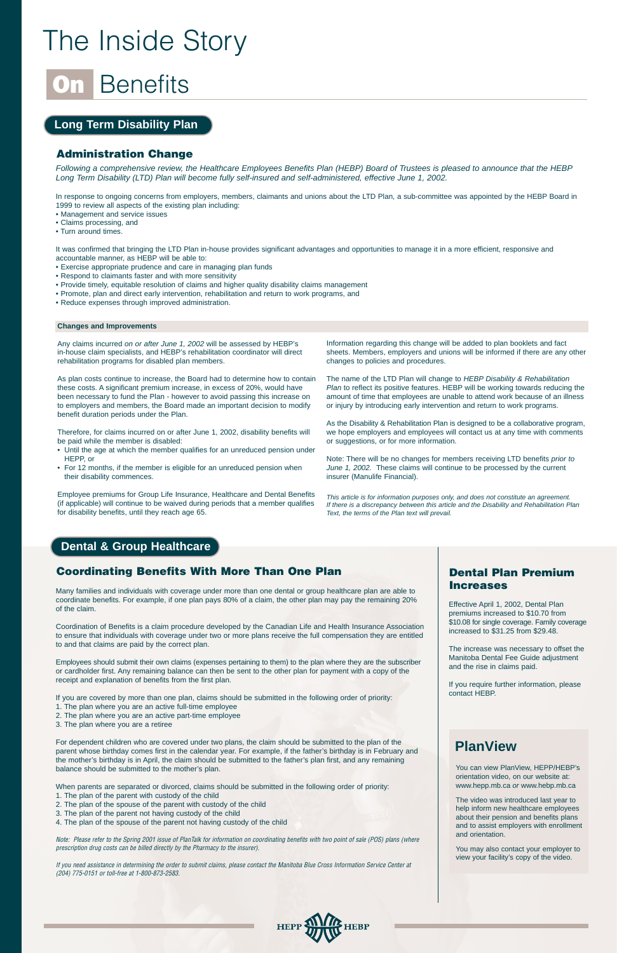# The Inside Story

# **Benefits**

#### **Dental & Group Healthcare**

Many families and individuals with coverage under more than one dental or group healthcare plan are able to coordinate benefits. For example, if one plan pays 80% of a claim, the other plan may pay the remaining 20% of the claim.

Coordination of Benefits is a claim procedure developed by the Canadian Life and Health Insurance Association to ensure that individuals with coverage under two or more plans receive the full compensation they are entitled to and that claims are paid by the correct plan.

Employees should submit their own claims (expenses pertaining to them) to the plan where they are the subscriber or cardholder first. Any remaining balance can then be sent to the other plan for payment with a copy of the receipt and explanation of benefits from the first plan.

If you are covered by more than one plan, claims should be submitted in the following order of priority:

- 1. The plan where you are an active full-time employee
- 2. The plan where you are an active part-time employee
- 3. The plan where you are a retiree

Any claims incurred on or after June 1, 2002 will be assessed by HEBP's in-house claim specialists, and HEBP's rehabilitation coordinator will direct rehabilitation programs for disabled plan members.

For dependent children who are covered under two plans, the claim should be submitted to the plan of the parent whose birthday comes first in the calendar year. For example, if the father's birthday is in February and the mother's birthday is in April, the claim should be submitted to the father's plan first, and any remaining balance should be submitted to the mother's plan.

When parents are separated or divorced, claims should be submitted in the following order of priority:

- 1. The plan of the parent with custody of the child
- 2. The plan of the spouse of the parent with custody of the child
- 3. The plan of the parent not having custody of the child
- 4. The plan of the spouse of the parent not having custody of the child

*Note: Please refer to the Spring 2001 issue of PlanTalk for information on coordinating benefits with two point of sale (POS) plans (where prescription drug costs can be billed directly by the Pharmacy to the insurer).*

The name of the LTD Plan will change to HEBP Disability & Rehabilitation Plan to reflect its positive features. HEBP will be working towards reducing the amount of time that employees are unable to attend work because of an illness or injury by introducing early intervention and return to work programs.

*If you need assistance in determining the order to submit claims, please contact the Manitoba Blue Cross Information Service Center at (204) 775-0151 or toll-free at 1-800-873-2583.*



#### **Coordinating Benefits With More Than One Plan**

#### **Administration Change**

#### **Changes and Improvements**

As plan costs continue to increase, the Board had to determine how to contain these costs. A significant premium increase, in excess of 20%, would have been necessary to fund the Plan - however to avoid passing this increase on to employers and members, the Board made an important decision to modify benefit duration periods under the Plan.

Therefore, for claims incurred on or after June 1, 2002, disability benefits will be paid while the member is disabled:

It was confirmed that bringing the LTD Plan in-house provides significant advantages and opportunities to manage it in a more efficient, responsive and accountable manner, as HEBP will be able to:

- Until the age at which the member qualifies for an unreduced pension under HEPP, or
- For 12 months, if the member is eligible for an unreduced pension when their disability commences.

Employee premiums for Group Life Insurance, Healthcare and Dental Benefits (if applicable) will continue to be waived during periods that a member qualifies for disability benefits, until they reach age 65.

Information regarding this change will be added to plan booklets and fact sheets. Members, employers and unions will be informed if there are any other changes to policies and procedures.

As the Disability & Rehabilitation Plan is designed to be a collaborative program, we hope employers and employees will contact us at any time with comments or suggestions, or for more information.

Note: There will be no changes for members receiving LTD benefits prior to June 1, 2002. These claims will continue to be processed by the current insurer (Manulife Financial).

This article is for information purposes only, and does not constitute an agreement. If there is a discrepancy between this article and the Disability and Rehabilitation Plan Text, the terms of the Plan text will prevail.

#### **Long Term Disability Plan**

#### **Dental Plan Premium Increases**

Effective April 1, 2002, Dental Plan premiums increased to \$10.70 from \$10.08 for single coverage. Family coverage increased to \$31.25 from \$29.48.

The increase was necessary to offset the Manitoba Dental Fee Guide adjustment and the rise in claims paid.

If you require further information, please contact HEBP.

You can view PlanView, HEPP/HEBP's orientation video, on our website at: www.hepp.mb.ca or www.hebp.mb.ca

The video was introduced last year to help inform new healthcare employees about their pension and benefits plans and to assist employers with enrollment and orientation.

You may also contact your employer to view your facility's copy of the video.

#### **PlanView**

Following a comprehensive review, the Healthcare Employees Benefits Plan (HEBP) Board of Trustees is pleased to announce that the HEBP Long Term Disability (LTD) Plan will become fully self-insured and self-administered, effective June 1, 2002.

In response to ongoing concerns from employers, members, claimants and unions about the LTD Plan, a sub-committee was appointed by the HEBP Board in 1999 to review all aspects of the existing plan including:

- Management and service issues
- Claims processing, and
- Turn around times.

- Exercise appropriate prudence and care in managing plan funds
- Respond to claimants faster and with more sensitivity
- Provide timely, equitable resolution of claims and higher quality disability claims management
- Promote, plan and direct early intervention, rehabilitation and return to work programs, and
- Reduce expenses through improved administration.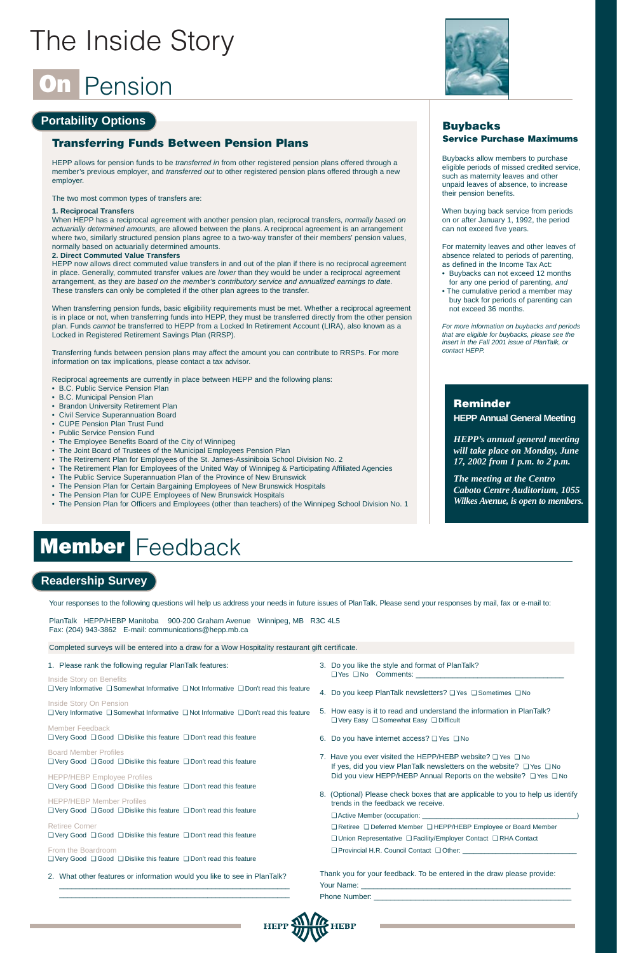# The Inside Story

# Pension

#### **Portability Options**

#### **Readership Survey**

Your responses to the following questions will help us address your needs in future issues of PlanTalk. Please send your responses by mail, fax or e-mail to:

#### **Transferring Funds Between Pension Plans**

HEPP allows for pension funds to be *transferred in* from other registered pension plans offered through a member's previous employer, and *transferred out* to other registered pension plans offered through a new employer.

The two most common types of transfers are:

When HEPP has a reciprocal agreement with another pension plan, reciprocal transfers, normally based on actuarially determined amounts, are allowed between the plans. A reciprocal agreement is an arrangement where two, similarly structured pension plans agree to a two-way transfer of their members' pension values, normally based on actuarially determined amounts.

#### **1. Reciprocal Transfers**

#### **2. Direct Commuted Value Transfers**

HEPP now allows direct commuted value transfers in and out of the plan if there is no reciprocal agreement in place. Generally, commuted transfer values are lower than they would be under a reciprocal agreement arrangement, as they are based on the member's contributory service and annualized earnings to date. These transfers can only be completed if the other plan agrees to the transfer.

When transferring pension funds, basic eligibility requirements must be met. Whether a reciprocal agreement is in place or not, when transferring funds into HEPP, they must be transferred directly from the other pension plan. Funds cannot be transferred to HEPP from a Locked In Retirement Account (LIRA), also known as a Locked in Registered Retirement Savings Plan (RRSP).

Transferring funds between pension plans may affect the amount you can contribute to RRSPs. For more information on tax implications, please contact a tax advisor.

Reciprocal agreements are currently in place between HEPP and the following plans:

- B.C. Public Service Pension Plan
- B.C. Municipal Pension Plan
- Brandon University Retirement Plan
- Civil Service Superannuation Board
- CUPE Pension Plan Trust Fund
- Public Service Pension Fund
- The Employee Benefits Board of the City of Winnipeg
- The Joint Board of Trustees of the Municipal Employees Pension Plan
- The Retirement Plan for Employees of the St. James-Assiniboia School Division No. 2
- The Retirement Plan for Employees of the United Way of Winnipeg & Participating Affiliated Agencies
- The Public Service Superannuation Plan of the Province of New Brunswick
- The Pension Plan for Certain Bargaining Employees of New Brunswick Hospitals
- The Pension Plan for CUPE Employees of New Brunswick Hospitals
- The Pension Plan for Officers and Employees (other than teachers) of the Winnipeg School Division No. 1

# **Member Feedback**

1. Please rank the following regular PlanTalk features:

Inside Story on Benefits

❏ Very Informative ❏ Somewhat Informative ❏ Not Informative ❏ Don't read this feature





Inside Story On Pension

❏ Very Informative ❏ Somewhat Informative ❏ Not Informative ❏ Don't read this feature

Member Feedback

❏ Very Good ❏ Good ❏ Dislike this feature ❏ Don't read this feature

Board Member Profiles

❏ Very Good ❏ Good ❏ Dislike this feature ❏ Don't read this feature

HEPP/HEBP Employee Profiles ❏ Very Good ❏ Good ❏ Dislike this feature ❏ Don't read this feature

HEPP/HEBP Member Profiles ❏ Very Good ❏ Good ❏ Dislike this feature ❏ Don't read this feature

Retiree Corner ❏ Very Good ❏ Good ❏ Dislike this feature ❏ Don't read this feature

From the Boardroom ❏ Very Good ❏ Good ❏ Dislike this feature ❏ Don't read this feature

2. What other features or information would you like to see in PlanTalk?

\_\_\_\_\_\_\_\_\_\_\_\_\_\_\_\_\_\_\_\_\_\_\_\_\_\_\_\_\_\_\_\_\_\_\_\_\_\_\_\_\_\_\_\_\_\_\_\_\_\_\_\_\_\_\_\_ \_\_\_\_\_\_\_\_\_\_\_\_\_\_\_\_\_\_\_\_\_\_\_\_\_\_\_\_\_\_\_\_\_\_\_\_\_\_\_\_\_\_\_\_\_\_\_\_\_\_\_\_\_\_\_\_ 3. Do you like the style and format of PlanTalk? ❏ Yes ❏ No Comments: \_\_\_\_\_\_\_\_\_\_\_\_\_\_\_\_\_\_\_\_\_\_\_\_\_\_\_\_\_\_\_\_\_\_\_\_

4. Do you keep PlanTalk newsletters? ❏ Yes ❏ Sometimes ❏ No

- 5. How easy is it to read and understand the information in PlanTalk? ❏ Very Easy ❏ Somewhat Easy ❏ Difficult
- 6. Do you have internet access? ❏ Yes ❏ No
- 7. Have you ever visited the HEPP/HEBP website? ❏ Yes ❏ No If yes, did you view PlanTalk newsletters on the website? ❏ Yes ❏ No Did you view HEPP/HEBP Annual Reports on the website? ❏ Yes ❏ No
- 8. (Optional) Please check boxes that are applicable to you to help us identify trends in the feedback we receive.

❏ Active Member (occupation: \_\_\_\_\_\_\_\_\_\_\_\_\_\_\_\_\_\_\_\_\_\_\_\_\_\_\_\_\_\_\_\_\_\_\_\_\_\_\_\_\_\_)

❏ Retiree ❏ Deferred Member ❏ HEPP/HEBP Employee or Board Member ❏ Union Representative ❏ Facility/Employer Contact ❏ RHA Contact

❏ Provincial H.R. Council Contact ❏ Other: \_\_\_\_\_\_\_\_\_\_\_\_\_\_\_\_\_\_\_\_\_\_\_\_\_\_\_\_\_\_\_

Thank you for your feedback. To be entered in the draw please provide: Your Name: Phone Number: \_\_\_\_\_\_\_\_\_\_\_\_\_\_\_\_\_\_\_\_\_\_\_\_\_\_\_\_\_\_\_\_\_\_\_\_\_\_\_\_\_\_\_\_\_\_\_\_



#### **Reminder**

**HEPP Annual General Meeting**

*HEPP's annual general meeting will take place on Monday, June 17, 2002 from 1 p.m. to 2 p.m.* 

*The meeting at the Centro Caboto Centre Auditorium, 1055 Wilkes Avenue, is open to members.*

#### **Buybacks Service Purchase Maximums**

Buybacks allow members to purchase eligible periods of missed credited service, such as maternity leaves and other unpaid leaves of absence, to increase their pension benefits.

When buying back service from periods on or after January 1, 1992, the period can not exceed five years.

For maternity leaves and other leaves of absence related to periods of parenting, as defined in the Income Tax Act:

- Buybacks can not exceed 12 months for any one period of parenting, and
- The cumulative period a member may buy back for periods of parenting can not exceed 36 months.

For more information on buybacks and periods that are eligible for buybacks, please see the insert in the Fall 2001 issue of PlanTalk, or contact HEPP.

PlanTalk HEPP/HEBP Manitoba 900-200 Graham Avenue Winnipeg, MB R3C 4L5 Fax: (204) 943-3862 E-mail: communications@hepp.mb.ca

Completed surveys will be entered into a draw for a Wow Hospitality restaurant gift certificate.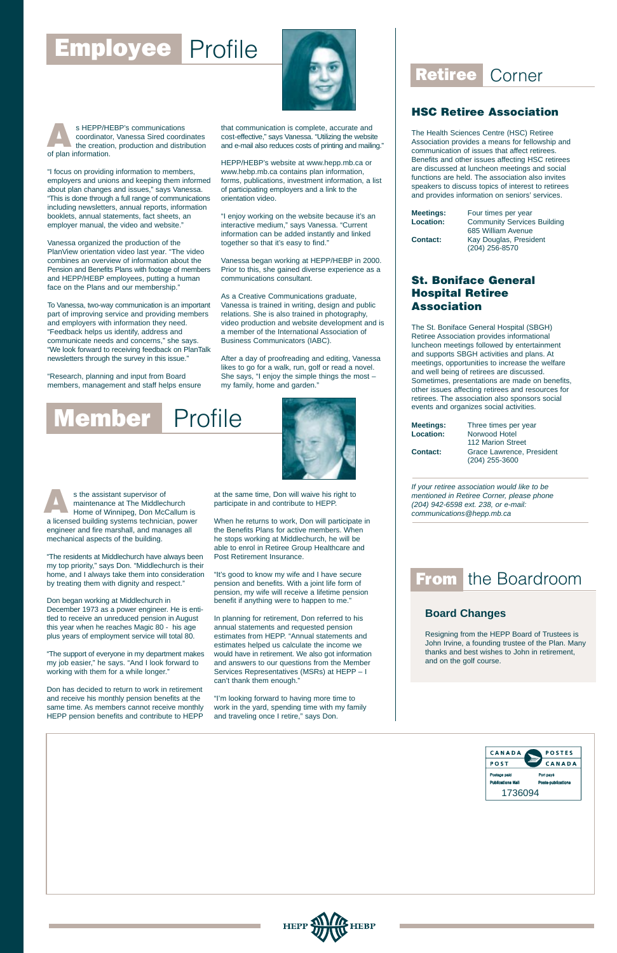# Employee Profile



s HEPP/HEBP's communications coordinator, Vanessa Sired coordinates the creation, production and distribution s HEPP/HI<br>coordinato<br>the creation<br>of plan information.

"I focus on providing information to members, employers and unions and keeping them informed about plan changes and issues," says Vanessa. "This is done through a full range of communications including newsletters, annual reports, information booklets, annual statements, fact sheets, an employer manual, the video and website."

Vanessa organized the production of the PlanView orientation video last year. "The video combines an overview of information about the Pension and Benefits Plans with footage of members and HEPP/HEBP employees, putting a human face on the Plans and our membership."

To Vanessa, two-way communication is an important part of improving service and providing members and employers with information they need. "Feedback helps us identify, address and communicate needs and concerns," she says. "We look forward to receiving feedback on PlanTalk newsletters through the survey in this issue."

"Research, planning and input from Board members, management and staff helps ensure

Member Profile



HEPP/HEBP's website at www.hepp.mb.ca or www.hebp.mb.ca contains plan information, forms, publications, investment information, a list of participating employers and a link to the orientation video.

"I enjoy working on the website because it's an interactive medium," says Vanessa. "Current information can be added instantly and linked together so that it's easy to find."

Vanessa began working at HEPP/HEBP in 2000. Prior to this, she gained diverse experience as a communications consultant.

As a Creative Communications graduate, Vanessa is trained in writing, design and public relations. She is also trained in photography, video production and website development and is a member of the International Association of Business Communicators (IABC).

After a day of proofreading and editing, Vanessa likes to go for a walk, run, golf or read a novel. She says, "I enjoy the simple things the most – my family, home and garden."



"The residents at Middlechurch have always been my top priority," says Don. "Middlechurch is their home, and I always take them into consideration by treating them with dignity and respect."

Don began working at Middlechurch in December 1973 as a power engineer. He is entitled to receive an unreduced pension in August this year when he reaches Magic 80 - his age plus years of employment service will total 80.

"The support of everyone in my department makes my job easier," he says. "And I look forward to working with them for a while longer."

Don has decided to return to work in retirement and receive his monthly pension benefits at the same time. As members cannot receive monthly HEPP pension benefits and contribute to HEPP

s the assistant supervisor of maintenance at The Middlechurch Home of Winnipeg, Don McCallum is a licensed building systems technician, power engineer and fire marshall, and manages all mechanical aspects of the building. **A**

at the same time, Don will waive his right to participate in and contribute to HEPP.

When he returns to work, Don will participate in the Benefits Plans for active members. When he stops working at Middlechurch, he will be able to enrol in Retiree Group Healthcare and Post Retirement Insurance.

"It's good to know my wife and I have secure pension and benefits. With a joint life form of pension, my wife will receive a lifetime pension benefit if anything were to happen to me."

In planning for retirement, Don referred to his annual statements and requested pension estimates from HEPP. "Annual statements and estimates helped us calculate the income we would have in retirement. We also got information and answers to our questions from the Member Services Representatives (MSRs) at HEPP – I can't thank them enough."

"I'm looking forward to having more time to work in the yard, spending time with my family and traveling once I retire," says Don.

#### Retiree Corner

#### **HSC Retiree Association**

The Health Sciences Centre (HSC) Retiree Association provides a means for fellowship and communication of issues that affect retirees. Benefits and other issues affecting HSC retirees are discussed at luncheon meetings and social functions are held. The association also invites speakers to discuss topics of interest to retirees and provides information on seniors' services.

| <b>Meetings:</b> | Four times per year                |
|------------------|------------------------------------|
| <b>Location:</b> | <b>Community Services Building</b> |
|                  | 685 William Avenue                 |
| <b>Contact:</b>  | Kay Douglas, President             |
|                  | (204) 256-8570                     |

#### **St. Boniface General Hospital Retiree Association**

The St. Boniface General Hospital (SBGH) Retiree Association provides informational luncheon meetings followed by entertainment and supports SBGH activities and plans. At meetings, opportunities to increase the welfare and well being of retirees are discussed. Sometimes, presentations are made on benefits, other issues affecting retirees and resources for retirees. The association also sponsors social events and organizes social activities.

| <b>Meetings:</b> | Three times per year                          |  |
|------------------|-----------------------------------------------|--|
| <b>Location:</b> | Norwood Hotel                                 |  |
|                  | 112 Marion Street                             |  |
| <b>Contact:</b>  | Grace Lawrence, President<br>$(204)$ 255-3600 |  |

If your retiree association would like to be mentioned in Retiree Corner, please phone (204) 942-6598 ext. 238, or e-mail: communications@hepp.mb.ca

#### From the Boardroom

#### **Board Changes**

Resigning from the HEPP Board of Trustees is John Irvine, a founding trustee of the Plan. Many thanks and best wishes to John in retirement, and on the golf course.